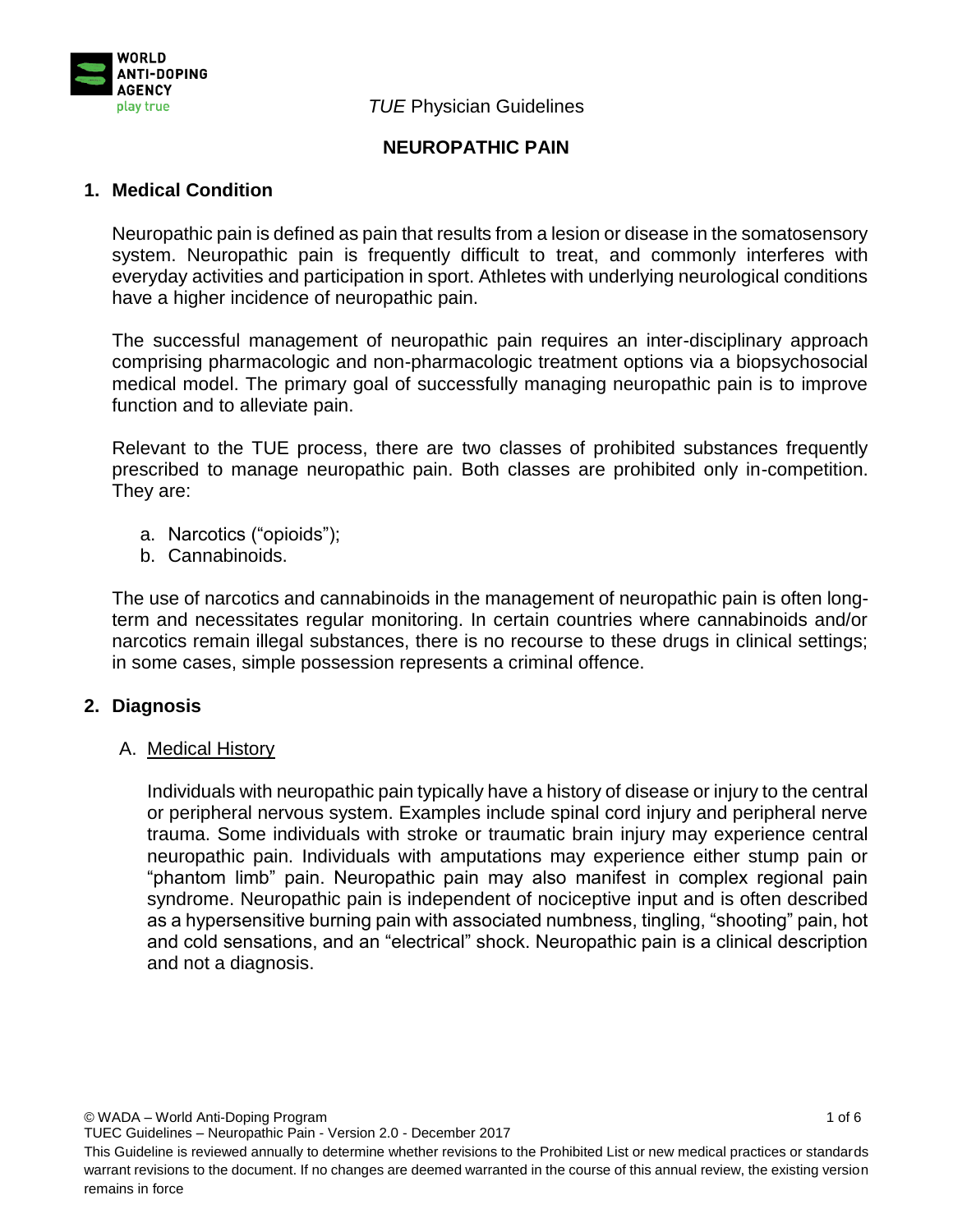

*TUE* Physician Guidelines

# **NEUROPATHIC PAIN**

## **1. Medical Condition**

Neuropathic pain is defined as pain that results from a lesion or disease in the somatosensory system. Neuropathic pain is frequently difficult to treat, and commonly interferes with everyday activities and participation in sport. Athletes with underlying neurological conditions have a higher incidence of neuropathic pain.

The successful management of neuropathic pain requires an inter-disciplinary approach comprising pharmacologic and non-pharmacologic treatment options via a biopsychosocial medical model. The primary goal of successfully managing neuropathic pain is to improve function and to alleviate pain.

Relevant to the TUE process, there are two classes of prohibited substances frequently prescribed to manage neuropathic pain. Both classes are prohibited only in-competition. They are:

- a. Narcotics ("opioids");
- b. Cannabinoids.

The use of narcotics and cannabinoids in the management of neuropathic pain is often longterm and necessitates regular monitoring. In certain countries where cannabinoids and/or narcotics remain illegal substances, there is no recourse to these drugs in clinical settings; in some cases, simple possession represents a criminal offence.

## **2. Diagnosis**

A. Medical History

Individuals with neuropathic pain typically have a history of disease or injury to the central or peripheral nervous system. Examples include spinal cord injury and peripheral nerve trauma. Some individuals with stroke or traumatic brain injury may experience central neuropathic pain. Individuals with amputations may experience either stump pain or "phantom limb" pain. Neuropathic pain may also manifest in complex regional pain syndrome. Neuropathic pain is independent of nociceptive input and is often described as a hypersensitive burning pain with associated numbness, tingling, "shooting" pain, hot and cold sensations, and an "electrical" shock. Neuropathic pain is a clinical description and not a diagnosis.

© WADA – World Anti-Doping Program 1 of 6

TUEC Guidelines – Neuropathic Pain - Version 2.0 - December 2017

This Guideline is reviewed annually to determine whether revisions to the Prohibited List or new medical practices or standards warrant revisions to the document. If no changes are deemed warranted in the course of this annual review, the existing version remains in force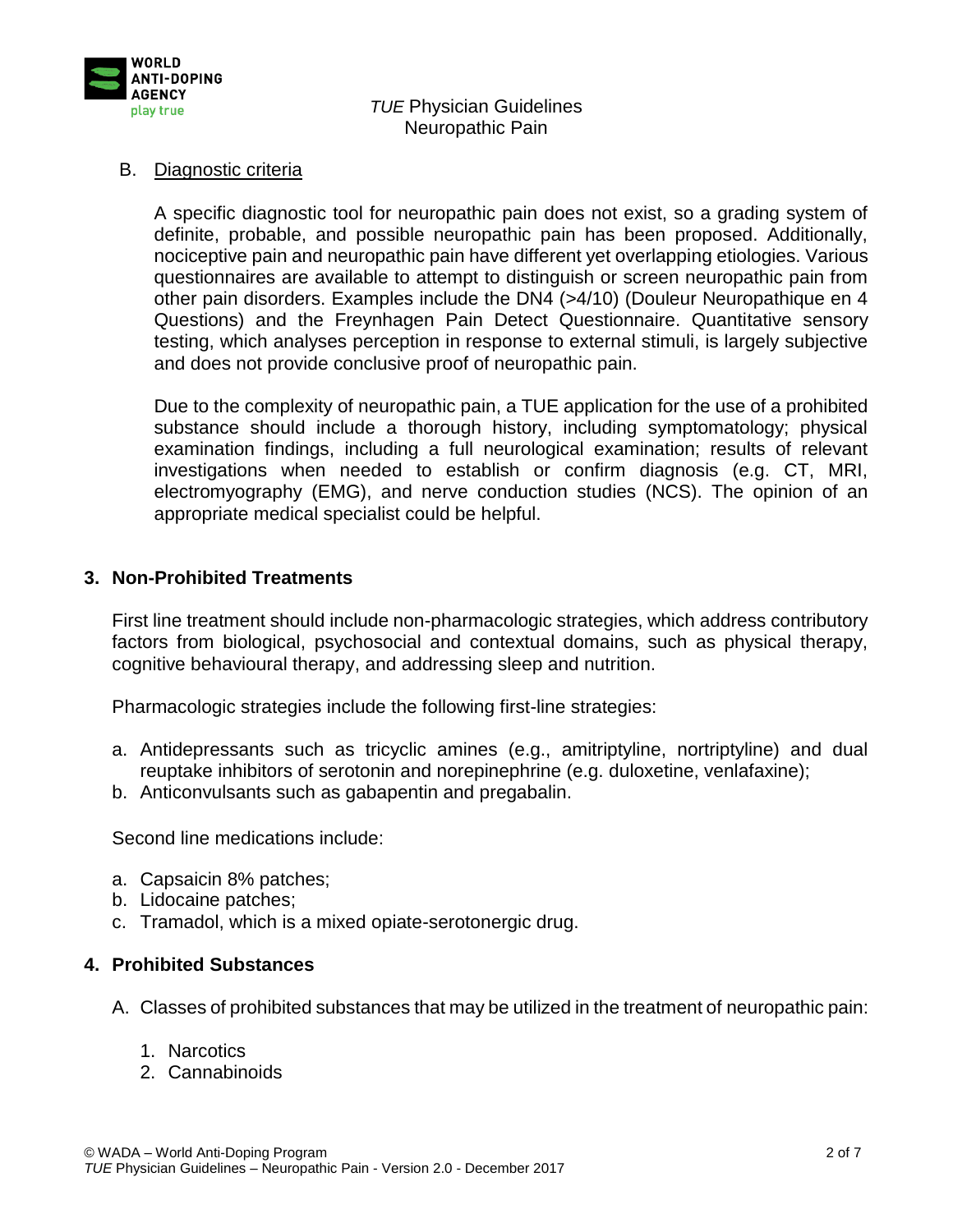

#### B. Diagnostic criteria

A specific diagnostic tool for neuropathic pain does not exist, so a grading system of definite, probable, and possible neuropathic pain has been proposed. Additionally, nociceptive pain and neuropathic pain have different yet overlapping etiologies. Various questionnaires are available to attempt to distinguish or screen neuropathic pain from other pain disorders. Examples include the DN4 (>4/10) (Douleur Neuropathique en 4 Questions) and the Freynhagen Pain Detect Questionnaire. Quantitative sensory testing, which analyses perception in response to external stimuli, is largely subjective and does not provide conclusive proof of neuropathic pain.

Due to the complexity of neuropathic pain, a TUE application for the use of a prohibited substance should include a thorough history, including symptomatology; physical examination findings, including a full neurological examination; results of relevant investigations when needed to establish or confirm diagnosis (e.g. CT, MRI, electromyography (EMG), and nerve conduction studies (NCS). The opinion of an appropriate medical specialist could be helpful.

## **3. Non-Prohibited Treatments**

First line treatment should include non-pharmacologic strategies, which address contributory factors from biological, psychosocial and contextual domains, such as physical therapy, cognitive behavioural therapy, and addressing sleep and nutrition.

Pharmacologic strategies include the following first-line strategies:

- a. Antidepressants such as tricyclic amines (e.g., amitriptyline, nortriptyline) and dual reuptake inhibitors of serotonin and norepinephrine (e.g. duloxetine, venlafaxine);
- b. Anticonvulsants such as gabapentin and pregabalin.

Second line medications include:

- a. Capsaicin 8% patches;
- b. Lidocaine patches;
- c. Tramadol, which is a mixed opiate-serotonergic drug.

#### **4. Prohibited Substances**

- A. Classes of prohibited substances that may be utilized in the treatment of neuropathic pain:
	- 1. Narcotics
	- 2. Cannabinoids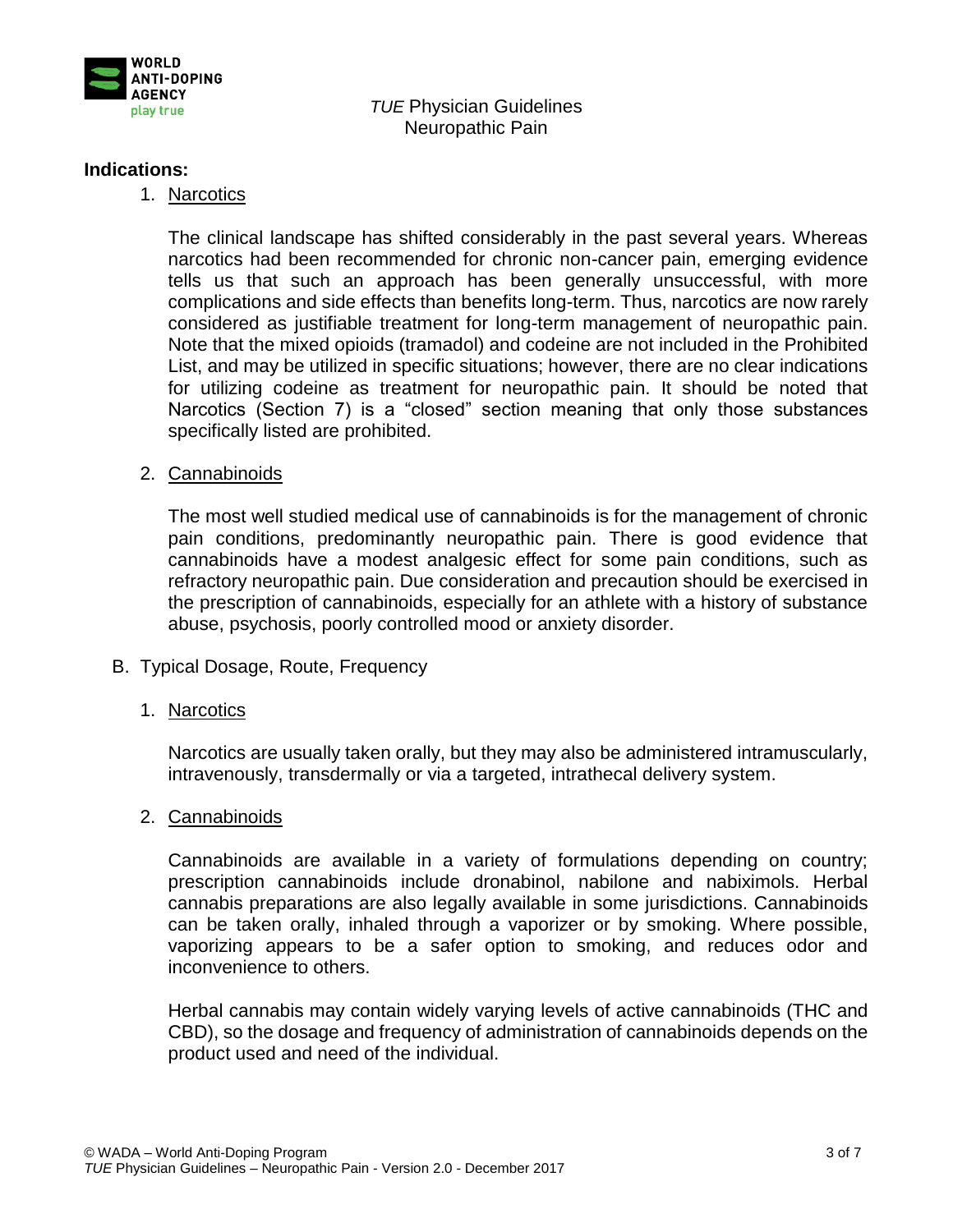

### **Indications:**

1. Narcotics

The clinical landscape has shifted considerably in the past several years. Whereas narcotics had been recommended for chronic non-cancer pain, emerging evidence tells us that such an approach has been generally unsuccessful, with more complications and side effects than benefits long-term. Thus, narcotics are now rarely considered as justifiable treatment for long-term management of neuropathic pain. Note that the mixed opioids (tramadol) and codeine are not included in the Prohibited List, and may be utilized in specific situations; however, there are no clear indications for utilizing codeine as treatment for neuropathic pain. It should be noted that Narcotics (Section 7) is a "closed" section meaning that only those substances specifically listed are prohibited.

2. Cannabinoids

The most well studied medical use of cannabinoids is for the management of chronic pain conditions, predominantly neuropathic pain. There is good evidence that cannabinoids have a modest analgesic effect for some pain conditions, such as refractory neuropathic pain. Due consideration and precaution should be exercised in the prescription of cannabinoids, especially for an athlete with a history of substance abuse, psychosis, poorly controlled mood or anxiety disorder.

- B. Typical Dosage, Route, Frequency
	- 1. Narcotics

Narcotics are usually taken orally, but they may also be administered intramuscularly, intravenously, transdermally or via a targeted, intrathecal delivery system.

2. Cannabinoids

Cannabinoids are available in a variety of formulations depending on country; prescription cannabinoids include dronabinol, nabilone and nabiximols. Herbal cannabis preparations are also legally available in some jurisdictions. Cannabinoids can be taken orally, inhaled through a vaporizer or by smoking. Where possible, vaporizing appears to be a safer option to smoking, and reduces odor and inconvenience to others.

Herbal cannabis may contain widely varying levels of active cannabinoids (THC and CBD), so the dosage and frequency of administration of cannabinoids depends on the product used and need of the individual.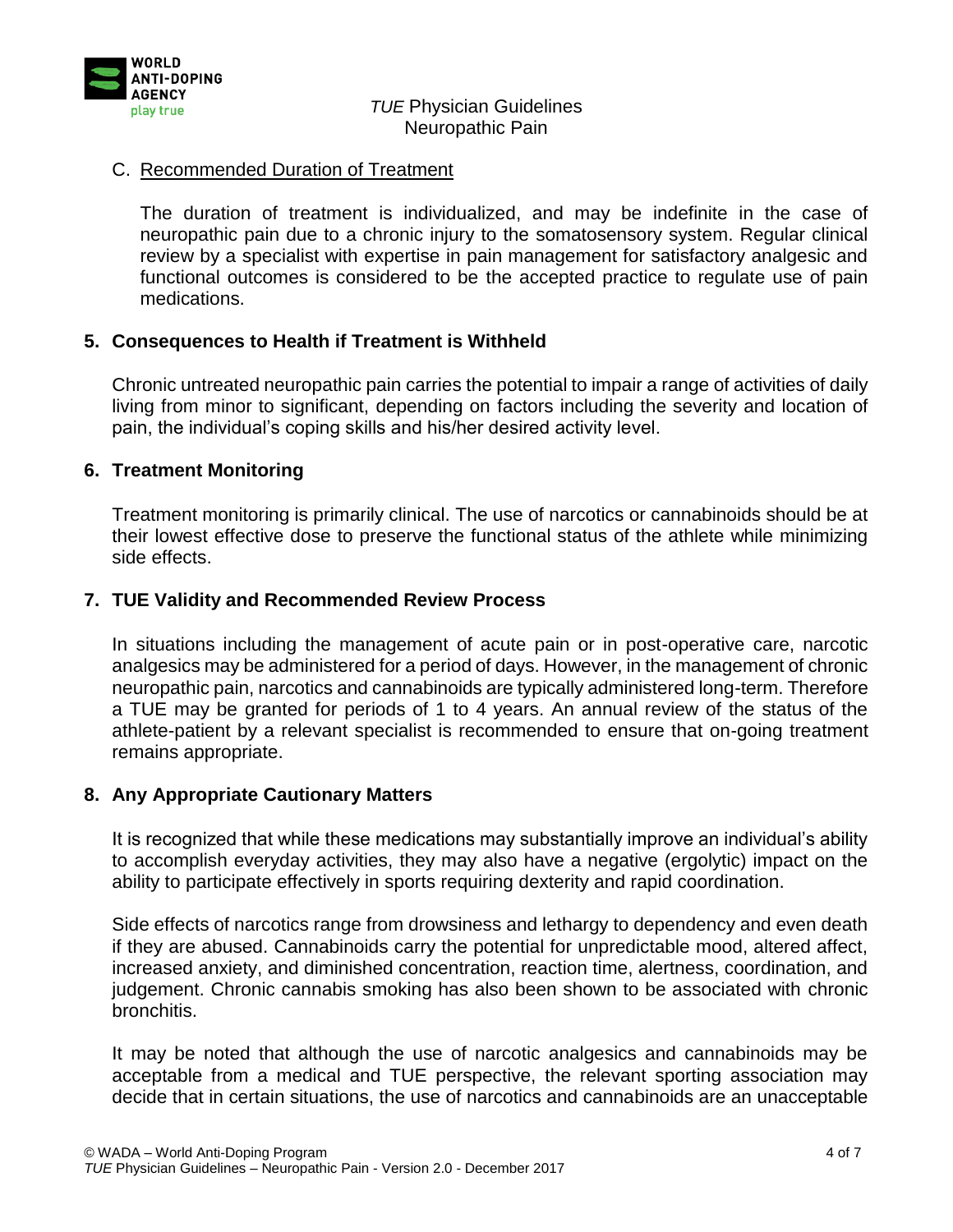

#### C. Recommended Duration of Treatment

The duration of treatment is individualized, and may be indefinite in the case of neuropathic pain due to a chronic injury to the somatosensory system. Regular clinical review by a specialist with expertise in pain management for satisfactory analgesic and functional outcomes is considered to be the accepted practice to regulate use of pain medications.

#### **5. Consequences to Health if Treatment is Withheld**

Chronic untreated neuropathic pain carries the potential to impair a range of activities of daily living from minor to significant, depending on factors including the severity and location of pain, the individual's coping skills and his/her desired activity level.

#### **6. Treatment Monitoring**

Treatment monitoring is primarily clinical. The use of narcotics or cannabinoids should be at their lowest effective dose to preserve the functional status of the athlete while minimizing side effects.

#### **7. TUE Validity and Recommended Review Process**

In situations including the management of acute pain or in post-operative care, narcotic analgesics may be administered for a period of days. However, in the management of chronic neuropathic pain, narcotics and cannabinoids are typically administered long-term. Therefore a TUE may be granted for periods of 1 to 4 years. An annual review of the status of the athlete-patient by a relevant specialist is recommended to ensure that on-going treatment remains appropriate.

## **8. Any Appropriate Cautionary Matters**

It is recognized that while these medications may substantially improve an individual's ability to accomplish everyday activities, they may also have a negative (ergolytic) impact on the ability to participate effectively in sports requiring dexterity and rapid coordination.

Side effects of narcotics range from drowsiness and lethargy to dependency and even death if they are abused. Cannabinoids carry the potential for unpredictable mood, altered affect, increased anxiety, and diminished concentration, reaction time, alertness, coordination, and judgement. Chronic cannabis smoking has also been shown to be associated with chronic bronchitis.

It may be noted that although the use of narcotic analgesics and cannabinoids may be acceptable from a medical and TUE perspective, the relevant sporting association may decide that in certain situations, the use of narcotics and cannabinoids are an unacceptable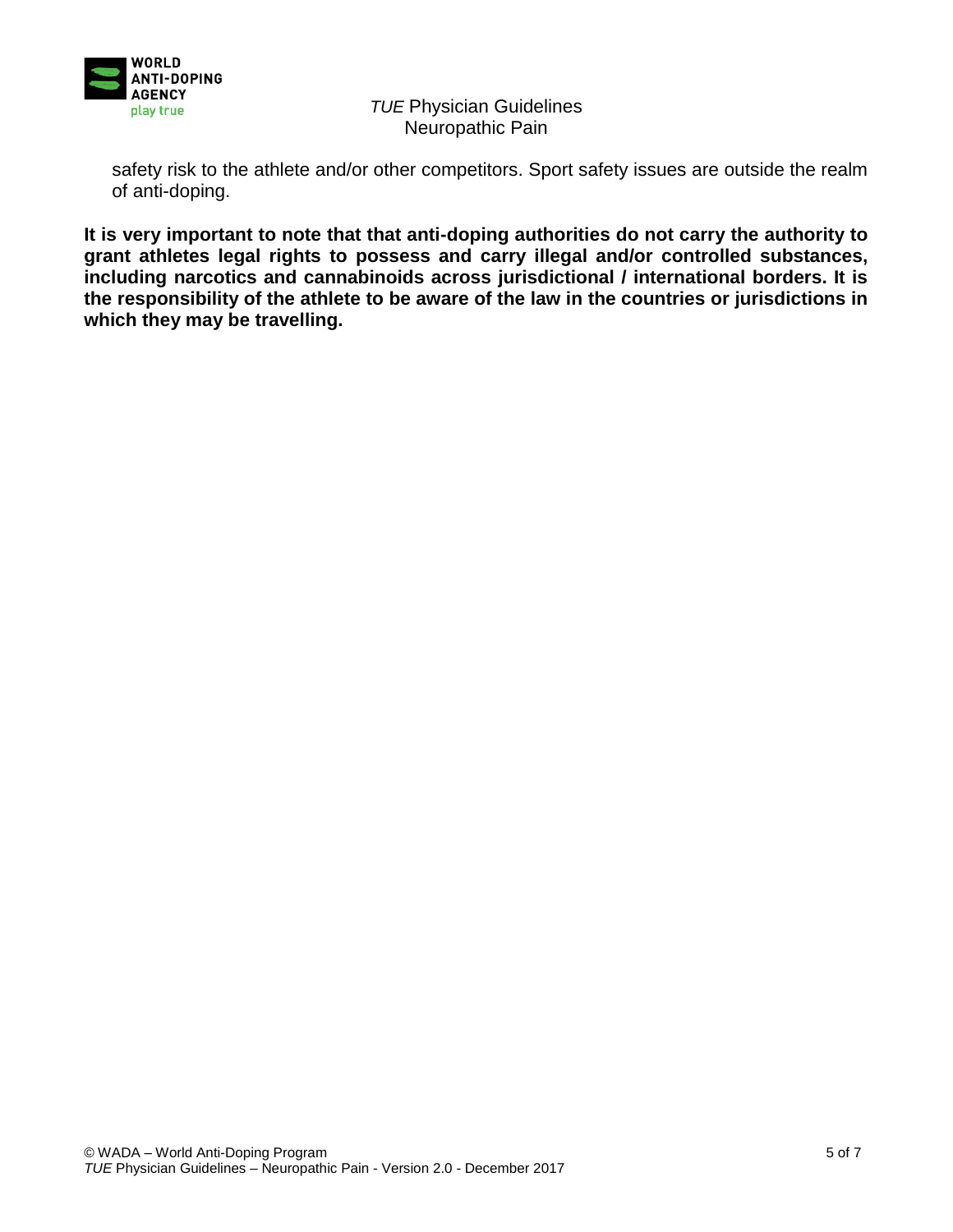

safety risk to the athlete and/or other competitors. Sport safety issues are outside the realm of anti-doping.

**It is very important to note that that anti-doping authorities do not carry the authority to grant athletes legal rights to possess and carry illegal and/or controlled substances, including narcotics and cannabinoids across jurisdictional / international borders. It is the responsibility of the athlete to be aware of the law in the countries or jurisdictions in which they may be travelling.**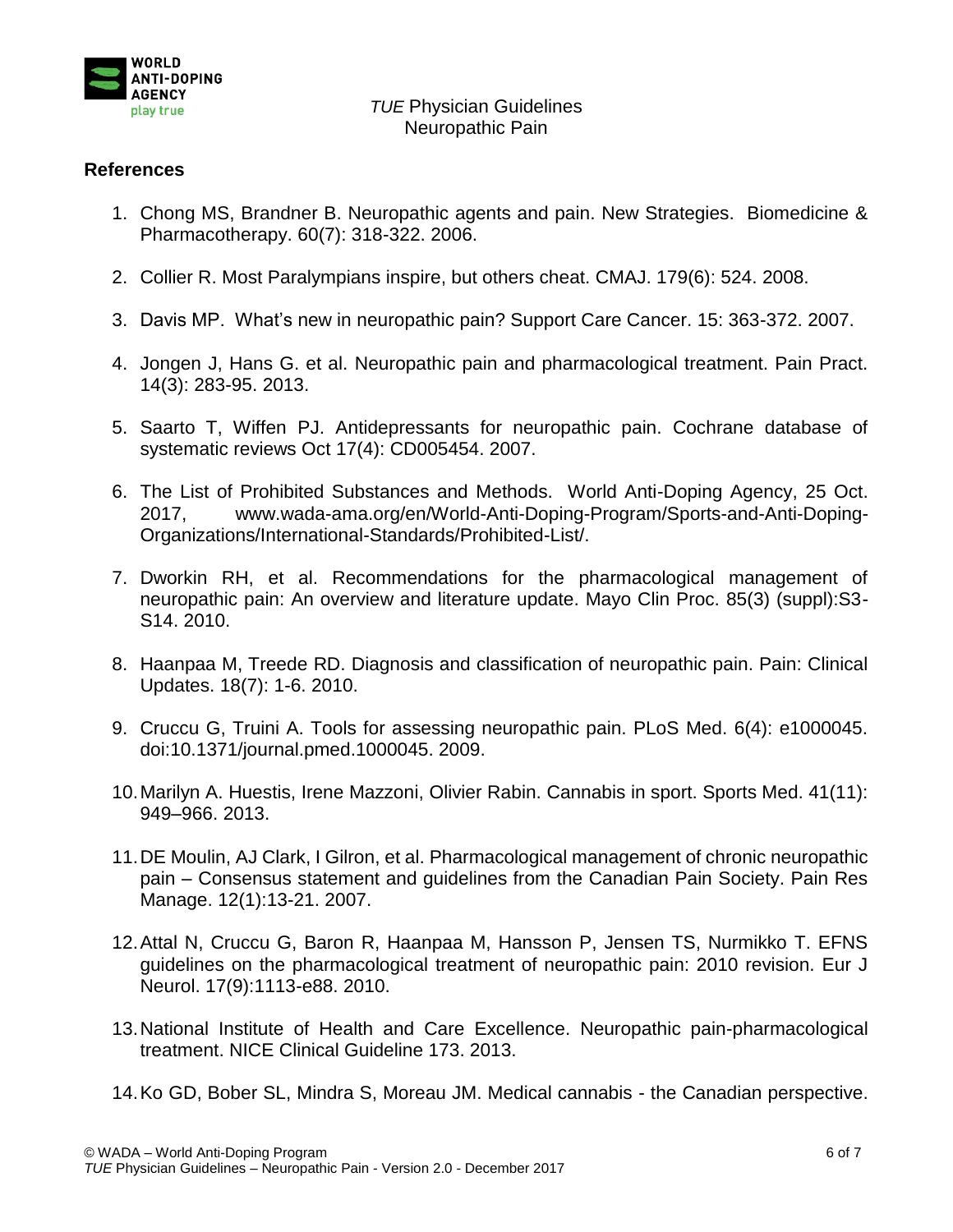

## **References**

- 1. Chong MS, Brandner B. Neuropathic agents and pain. New Strategies. Biomedicine & Pharmacotherapy. 60(7): 318-322. 2006.
- 2. Collier R. Most Paralympians inspire, but others cheat. CMAJ. 179(6): 524. 2008.
- 3. Davis MP. What's new in neuropathic pain? Support Care Cancer. 15: 363-372. 2007.
- 4. Jongen J, Hans G. et al. Neuropathic pain and pharmacological treatment. Pain Pract. 14(3): 283-95. 2013.
- 5. Saarto T, Wiffen PJ. Antidepressants for neuropathic pain. Cochrane database of systematic reviews Oct 17(4): CD005454. 2007.
- 6. The List of Prohibited Substances and Methods. World Anti-Doping Agency, 25 Oct. 2017, www.wada-ama.org/en/World-Anti-Doping-Program/Sports-and-Anti-Doping-Organizations/International-Standards/Prohibited-List/.
- 7. Dworkin RH, et al. Recommendations for the pharmacological management of neuropathic pain: An overview and literature update. Mayo Clin Proc. 85(3) (suppl):S3- S14. 2010.
- 8. Haanpaa M, Treede RD. Diagnosis and classification of neuropathic pain. Pain: Clinical Updates. 18(7): 1-6. 2010.
- 9. Cruccu G, Truini A. Tools for assessing neuropathic pain. PLoS Med. 6(4): e1000045. doi:10.1371/journal.pmed.1000045. 2009.
- 10.Marilyn A. Huestis, Irene Mazzoni, Olivier Rabin. Cannabis in sport. Sports Med. 41(11): 949–966. 2013.
- 11.DE Moulin, AJ Clark, I Gilron, et al. Pharmacological management of chronic neuropathic pain – Consensus statement and guidelines from the Canadian Pain Society. Pain Res Manage. 12(1):13-21. 2007.
- 12.Attal N, Cruccu G, Baron R, Haanpaa M, Hansson P, Jensen TS, Nurmikko T. EFNS guidelines on the pharmacological treatment of neuropathic pain: 2010 revision. Eur J Neurol. 17(9):1113-e88. 2010.
- 13.National Institute of Health and Care Excellence. Neuropathic pain-pharmacological treatment. NICE Clinical Guideline 173. 2013.
- 14.Ko GD, Bober SL, Mindra S, Moreau JM. Medical cannabis the Canadian perspective.